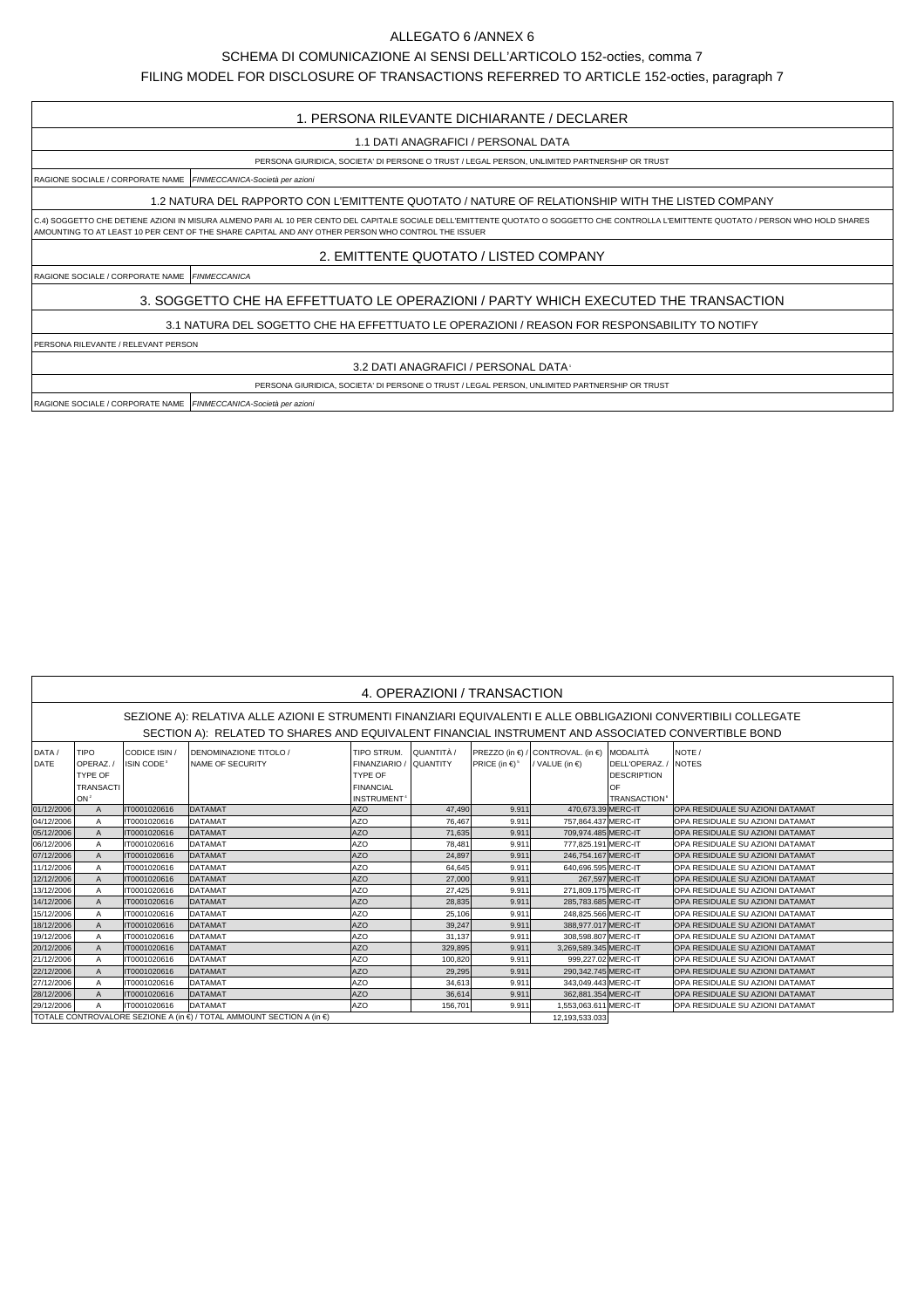## ALLEGATO 6 /ANNEX 6

## SCHEMA DI COMUNICAZIONE AI SENSI DELL'ARTICOLO 152-octies, comma 7

FILING MODEL FOR DISCLOSURE OF TRANSACTIONS REFERRED TO ARTICLE 152-octies, paragraph 7

## 1. PERSONA RILEVANTE DICHIARANTE / DECLARER

1.1 DATI ANAGRAFICI / PERSONAL DATA

PERSONA GIURIDICA, SOCIETA' DI PERSONE O TRUST / LEGAL PERSON, UNLIMITED PARTNERSHIP OR TRUST

RAGIONE SOCIALE / CORPORATE NAME FINMECCANICA-Società per azioni

1.2 NATURA DEL RAPPORTO CON L'EMITTENTE QUOTATO / NATURE OF RELATIONSHIP WITH THE LISTED COMPANY

C.4) SOGGETTO CHE DETIENE AZIONI IN MISURA ALMENO PARI AL 10 PER CENTO DEL CAPITALE SOCIALE DELL'EMITTENTE QUOTATO O SOGGETTO CHE CONTROLLA L'EMITTENTE QUOTATO / PERSON WHO HOLD SHARES AMOUNTING TO AT LEAST 10 PER CENT OF THE SHARE CAPITAL AND ANY OTHER PERSON WHO CONTROL THE ISSUER

2. EMITTENTE QUOTATO / LISTED COMPANY

RAGIONE SOCIALE / CORPORATE NAME FINMECCANICA

3. SOGGETTO CHE HA EFFETTUATO LE OPERAZIONI / PARTY WHICH EXECUTED THE TRANSACTION

3.1 NATURA DEL SOGETTO CHE HA EFFETTUATO LE OPERAZIONI / REASON FOR RESPONSABILITY TO NOTIFY

PERSONA RILEVANTE / RELEVANT PERSON

3.2 DATI ANAGRAFICI / PERSONAL DATA1

PERSONA GIURIDICA, SOCIETA' DI PERSONE O TRUST / LEGAL PERSON, UNLIMITED PARTNERSHIP OR TRUST

RAGIONE SOCIALE / CORPORATE NAME FINMECCANICA-Società per azioni

| 4. OPERAZIONI / TRANSACTION                                                                                    |                  |                              |                                                                       |                         |            |                                                 |                                            |                                |                                  |  |  |  |
|----------------------------------------------------------------------------------------------------------------|------------------|------------------------------|-----------------------------------------------------------------------|-------------------------|------------|-------------------------------------------------|--------------------------------------------|--------------------------------|----------------------------------|--|--|--|
| SEZIONE A): RELATIVA ALLE AZIONI E STRUMENTI FINANZIARI EQUIVALENTI E ALLE OBBLIGAZIONI CONVERTIBILI COLLEGATE |                  |                              |                                                                       |                         |            |                                                 |                                            |                                |                                  |  |  |  |
|                                                                                                                |                  |                              |                                                                       |                         |            |                                                 |                                            |                                |                                  |  |  |  |
| SECTION A): RELATED TO SHARES AND EQUIVALENT FINANCIAL INSTRUMENT AND ASSOCIATED CONVERTIBLE BOND              |                  |                              |                                                                       |                         |            |                                                 |                                            |                                |                                  |  |  |  |
| DATA /                                                                                                         | TIPO             | CODICE ISIN /                | <b>IDENOMINAZIONE TITOLO /</b>                                        | TIPO STRUM.             | QUANTITÀ / |                                                 | PREZZO (in €) / CONTROVAL. (in €) MODALITÀ |                                | NOTE /                           |  |  |  |
| DATE                                                                                                           | OPERAZ./         | <b>ISIN CODE<sup>3</sup></b> | <b>INAME OF SECURITY</b>                                              | FINANZIARIO / QUANTITY  |            | <b>PRICE</b> (in €) <sup>5</sup> / VALUE (in €) |                                            | DELL'OPERAZ./                  | INOTES                           |  |  |  |
|                                                                                                                | <b>TYPE OF</b>   |                              |                                                                       | TYPE OF                 |            |                                                 |                                            | <b>DESCRIPTION</b>             |                                  |  |  |  |
|                                                                                                                | <b>TRANSACTI</b> |                              |                                                                       | <b>FINANCIAL</b>        |            |                                                 |                                            | OF                             |                                  |  |  |  |
|                                                                                                                | ION <sup>2</sup> |                              |                                                                       | INSTRUMENT <sup>4</sup> |            |                                                 |                                            | <b>TRANSACTION<sup>6</sup></b> |                                  |  |  |  |
| 01/12/2006                                                                                                     | $\overline{A}$   | IT0001020616                 | DATAMAT                                                               | AZO                     | 47.490     | 9.911                                           | 470.673.39 MERC-IT                         |                                | OPA RESIDUALE SU AZIONI DATAMAT  |  |  |  |
| 04/12/2006                                                                                                     | $\overline{A}$   | IT0001020616                 | <b>DATAMAT</b>                                                        | <b>AZO</b>              | 76.467     | 9.911                                           | 757.864.437 MERC-IT                        |                                | OPA RESIDUALE SU AZIONI DATAMAT  |  |  |  |
| 05/12/2006                                                                                                     | $\overline{A}$   | IT0001020616                 | <b>DATAMAT</b>                                                        | <b>AZO</b>              | 71.635     | 9.911                                           | 709.974.485 MERC-IT                        |                                | OPA RESIDUALE SU AZIONI DATAMAT  |  |  |  |
| 06/12/2006                                                                                                     | $\overline{A}$   | IT0001020616                 | DATAMAT                                                               | <b>AZO</b>              | 78,481     | 9.911                                           | 777.825.191 MERC-IT                        |                                | OPA RESIDUALE SU AZIONI DATAMAT  |  |  |  |
| 07/12/2006                                                                                                     | $\overline{A}$   | IT0001020616                 | <b>DATAMAT</b>                                                        | <b>AZO</b>              | 24,897     | 9.911                                           | 246.754.167 MERC-IT                        |                                | IOPA RESIDUALE SU AZIONI DATAMAT |  |  |  |
| 11/12/2006                                                                                                     | $\overline{A}$   | IT0001020616                 | <b>DATAMAT</b>                                                        | <b>AZO</b>              | 64,645     | 9.911                                           | 640.696.595 MERC-IT                        |                                | OPA RESIDUALE SU AZIONI DATAMAT  |  |  |  |
| 12/12/2006                                                                                                     | $\overline{A}$   | IT0001020616                 | <b>DATAMAT</b>                                                        | AZO                     | 27,000     | 9.911                                           |                                            | 267.597 MERC-IT                | OPA RESIDUALE SU AZIONI DATAMAT  |  |  |  |
| 13/12/2006                                                                                                     | $\overline{A}$   | IT0001020616                 | DATAMAT                                                               | <b>AZO</b>              | 27.425     | 9.911                                           | 271.809.175 MERC-IT                        |                                | OPA RESIDUALE SU AZIONI DATAMAT  |  |  |  |
| 14/12/2006                                                                                                     | $\overline{A}$   | IT0001020616                 | <b>DATAMAT</b>                                                        | <b>AZO</b>              | 28,835     | 9.911                                           | 285.783.685 MERC-IT                        |                                | OPA RESIDUALE SU AZIONI DATAMAT  |  |  |  |
| 15/12/2006                                                                                                     | $\overline{A}$   | IT0001020616                 | DATAMAT                                                               | <b>AZO</b>              | 25,106     | 9.911                                           | 248.825.566 MERC-IT                        |                                | OPA RESIDUALE SU AZIONI DATAMAT  |  |  |  |
| 18/12/2006                                                                                                     | $\overline{A}$   | IT0001020616                 | <b>DATAMAT</b>                                                        | <b>AZO</b>              | 39.247     | 9.911                                           | 388.977.017 MERC-IT                        |                                | OPA RESIDUALE SU AZIONI DATAMAT  |  |  |  |
| 19/12/2006                                                                                                     | $\overline{A}$   | IT0001020616                 | DATAMAT                                                               | <b>AZO</b>              | 31.137     | 9.911                                           | 308.598.807 MERC-IT                        |                                | OPA RESIDUALE SU AZIONI DATAMAT  |  |  |  |
| 20/12/2006                                                                                                     | $\overline{A}$   | IT0001020616                 | <b>DATAMAT</b>                                                        | AZO                     | 329.895    | 9.911                                           | 3.269.589.345 MERC-IT                      |                                | OPA RESIDUALE SU AZIONI DATAMAT  |  |  |  |
| 21/12/2006                                                                                                     | $\overline{A}$   | IT0001020616                 | DATAMAT                                                               | <b>AZO</b>              | 100.820    | 9.911                                           | 999.227.02 MERC-IT                         |                                | OPA RESIDUALE SU AZIONI DATAMAT  |  |  |  |
| 22/12/2006                                                                                                     | $\overline{A}$   | IT0001020616                 | <b>DATAMAT</b>                                                        | <b>AZO</b>              | 29.295     | 9.911                                           | 290,342.745 MERC-IT                        |                                | OPA RESIDUALE SU AZIONI DATAMAT  |  |  |  |
| 27/12/2006                                                                                                     | $\overline{A}$   | IT0001020616                 | DATAMAT                                                               | <b>AZO</b>              | 34,613     | 9.911                                           | 343.049.443 MERC-IT                        |                                | OPA RESIDUALE SU AZIONI DATAMAT  |  |  |  |
| 28/12/2006                                                                                                     | $\overline{A}$   | IT0001020616                 | <b>DATAMAT</b>                                                        | lazo                    | 36.614     | 9.911                                           | 362.881.354 MERC-IT                        |                                | OPA RESIDUALE SU AZIONI DATAMAT  |  |  |  |
| 29/12/2006                                                                                                     | $\overline{A}$   | IT0001020616                 | <b>DATAMAT</b>                                                        | lazo                    | 156.701    | 9.911                                           | 1.553.063.611 MERC-IT                      |                                | OPA RESIDUALE SU AZIONI DATAMAT  |  |  |  |
|                                                                                                                |                  |                              | TOTALE CONTROVALORE SEZIONE A (in €) / TOTAL AMMOUNT SECTION A (in €) | 12.193.533.033          |            |                                                 |                                            |                                |                                  |  |  |  |